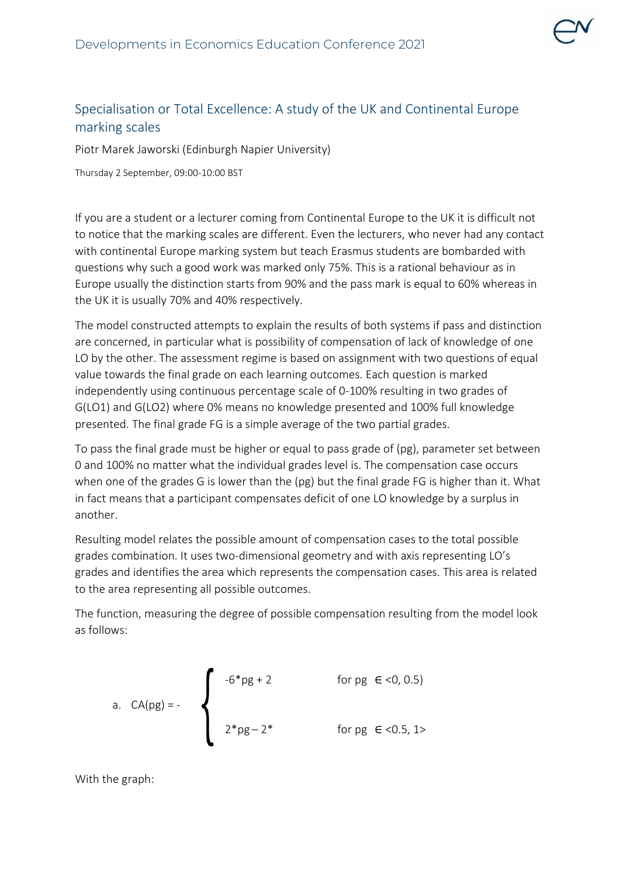

## Specialisation or Total Excellence: A study of the UK and Continental Europe marking scales

Piotr Marek Jaworski (Edinburgh Napier University)

Thursday 2 September, 09:00-10:00 BST

If you are a student or a lecturer coming from Continental Europe to the UK it is difficult not to notice that the marking scales are different. Even the lecturers, who never had any contact with continental Europe marking system but teach Erasmus students are bombarded with questions why such a good work was marked only 75%. This is a rational behaviour as in Europe usually the distinction starts from 90% and the pass mark is equal to 60% whereas in the UK it is usually 70% and 40% respectively.

The model constructed attempts to explain the results of both systems if pass and distinction are concerned, in particular what is possibility of compensation of lack of knowledge of one LO by the other. The assessment regime is based on assignment with two questions of equal value towards the final grade on each learning outcomes. Each question is marked independently using continuous percentage scale of 0-100% resulting in two grades of G(LO1) and G(LO2) where 0% means no knowledge presented and 100% full knowledge presented. The final grade FG is a simple average of the two partial grades.

To pass the final grade must be higher or equal to pass grade of (pg), parameter set between 0 and 100% no matter what the individual grades level is. The compensation case occurs when one of the grades G is lower than the (pg) but the final grade FG is higher than it. What in fact means that a participant compensates deficit of one LO knowledge by a surplus in another.

Resulting model relates the possible amount of compensation cases to the total possible grades combination. It uses two-dimensional geometry and with axis representing LO's grades and identifies the area which represents the compensation cases. This area is related to the area representing all possible outcomes.

The function, measuring the degree of possible compensation resulting from the model look as follows:

a. 
$$
CA(pg) = -
$$
  
\nb)  $2*pg - 2*$  for pg  $\in$  < 0, 0.5  
\nc)  $2*pg - 2*$  for pg  $\in$  < 0.5, 1>

With the graph: